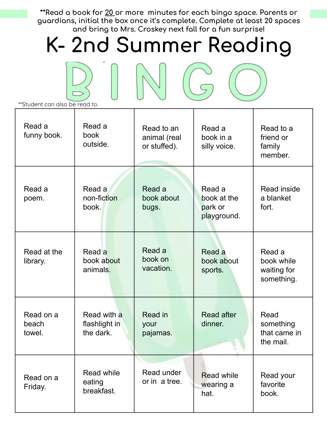\*\*Read a book for 20 or more minutes for each bingo space. Parents or **Āuardians, initial the box once it's complete. Complete at least 20 spaces**  and bring to Mrs. Croskey next fall for a fun surprise!

## K- 2nd Summer Reading

C

| **Student can also be read to. |                                           |                                            |                                                 |                                                   |
|--------------------------------|-------------------------------------------|--------------------------------------------|-------------------------------------------------|---------------------------------------------------|
| Read a<br>funny book.          | Read a<br><b>book</b><br>outside.         | Read to an<br>animal (real<br>or stuffed). | Read a<br>book in a<br>silly voice.             | Read to a<br>friend or<br>family<br>member.       |
| Read a<br>poem.                | Read a<br>non-fiction<br>book.            | Read a<br>book about<br>bugs.              | Read a<br>book at the<br>park or<br>playground. | Read inside<br>a blanket<br>fort.                 |
| Read at the<br>library.        | Read a<br>book about<br>animals.          | Read a<br>book on<br>vacation.             | Read a<br>book about<br>sports.                 | Read a<br>book while<br>waiting for<br>something. |
| Read on a<br>beach<br>towel.   | Read with a<br>flashlight in<br>the dark. | Read in<br>your<br>pajamas.                | <b>Read after</b><br>dinner.                    | Read<br>something<br>that came in<br>the mail.    |
| Read on a<br>Friday.           | Read while<br>eating<br>breakfast.        | Read under<br>or in a tree.                | <b>Read while</b><br>wearing a<br>hat.          | Read your<br>favorite<br>book.                    |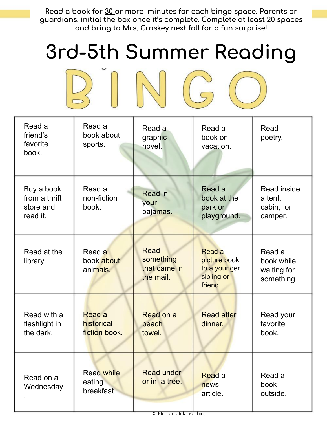Read a book for 30 or more minutes for each bingo space. Parents or **Āuardians, initial the box once it's complete. Complete at least 20 spaces**  and bring to Mrs. Croskey next fall for a fun surprise!

## **3rd-5th Summer Reading**



| Read a<br>friend's<br>favorite<br>book.              | Read a<br>book about<br>sports.           | Read a<br>graphic<br>novel.                           | Read a<br>book on<br>vacation.                                         | Read<br>poetry.                                   |
|------------------------------------------------------|-------------------------------------------|-------------------------------------------------------|------------------------------------------------------------------------|---------------------------------------------------|
| Buy a book<br>from a thrift<br>store and<br>read it. | Read a<br>non-fiction<br>book.            | Read in<br>your<br>pajamas.                           | Read a<br>book at the<br>park or<br>playground.                        | Read inside<br>a tent,<br>cabin, or<br>camper.    |
| Read at the<br>library.                              | Read a<br>book about<br>animals.          | <b>Read</b><br>something<br>that came in<br>the mail. | <b>Read a</b><br>picture book<br>to a younger<br>sibling or<br>friend. | Read a<br>book while<br>waiting for<br>something. |
| Read with a<br>flashlight in<br>the dark.            | Read a<br>historical<br>fiction book.     | Read on a<br>beach<br>towel.                          | <b>Read after</b><br>dinner.                                           | Read your<br>favorite<br>book.                    |
| Read on a<br>Wednesday                               | <b>Read while</b><br>eating<br>breakfast. | <b>Read under</b><br>or in a tree.                    | Read a<br>news<br>article.                                             | Read a<br>book<br>outside.                        |